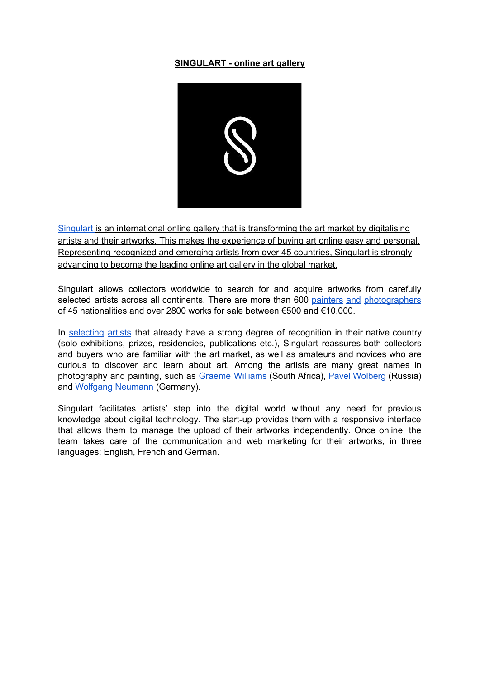## **SINGULART - online art gallery**



[Singulart](https://www.singulart.com/en/) is an international online gallery that is transforming the art market by digitalising artists and their artworks. This makes the experience of buying art online easy and personal. Representing recognized and emerging artists from over 45 countries, Singulart is strongly advancing to become the leading online art gallery in the global market.

Singulart allows collectors worldwide to search for and acquire artworks from carefully selected artists across all continents. There are more than 600 painters and [photographers](https://www.singulart.com/en/artists) of 45 nationalities and over 2800 works for sale between €500 and €10,000.

In [selecting](https://www.singulart.com/en/landing#advantages) artists that already have a strong degree of recognition in their native country (solo exhibitions, prizes, residencies, publications etc.), Singulart reassures both collectors and buyers who are familiar with the art market, as well as amateurs and novices who are curious to discover and learn about art. Among the artists are many great names in photography and painting, such as Graeme [Williams](https://www.singulart.com/en/artist/graeme-williams-7) (South Africa), Pavel [Wolberg](https://www.singulart.com/en/artist/pavel-wolberg-22) (Russia) and **Wolfgang [Neumann](https://www.singulart.com/en/artist/wolfgang-neumann-114)** (Germany).

Singulart facilitates artists' step into the digital world without any need for previous knowledge about digital technology. The start-up provides them with a responsive interface that allows them to manage the upload of their artworks independently. Once online, the team takes care of the communication and web marketing for their artworks, in three languages: English, French and German.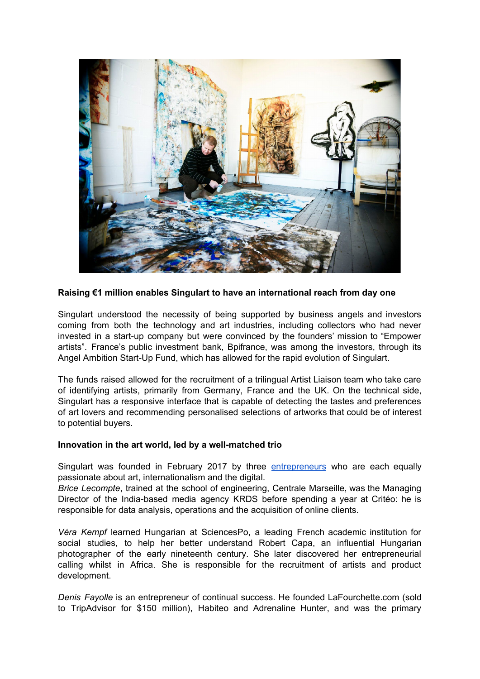

## **Raising €1 million enables Singulart to have an international reach from day one**

Singulart understood the necessity of being supported by business angels and investors coming from both the technology and art industries, including collectors who had never invested in a start-up company but were convinced by the founders' mission to "Empower artists". France's public investment bank, Bpifrance, was among the investors, through its Angel Ambition Start-Up Fund, which has allowed for the rapid evolution of Singulart.

The funds raised allowed for the recruitment of a trilingual Artist Liaison team who take care of identifying artists, primarily from Germany, France and the UK. On the technical side, Singulart has a responsive interface that is capable of detecting the tastes and preferences of art lovers and recommending personalised selections of artworks that could be of interest to potential buyers.

## **Innovation in the art world, led by a well-matched trio**

Singulart was founded in February 2017 by three **[entrepreneurs](https://www.singulart.com/en/about)** who are each equally passionate about art, internationalism and the digital.

*Brice Lecompte*, trained at the school of engineering, Centrale Marseille, was the Managing Director of the India-based media agency KRDS before spending a year at Critéo: he is responsible for data analysis, operations and the acquisition of online clients.

*Véra Kempf* learned Hungarian at SciencesPo, a leading French academic institution for social studies, to help her better understand Robert Capa, an influential Hungarian photographer of the early nineteenth century. She later discovered her entrepreneurial calling whilst in Africa. She is responsible for the recruitment of artists and product development.

*Denis Fayolle* is an entrepreneur of continual success. He founded LaFourchette.com (sold to TripAdvisor for \$150 million), Habiteo and Adrenaline Hunter, and was the primary